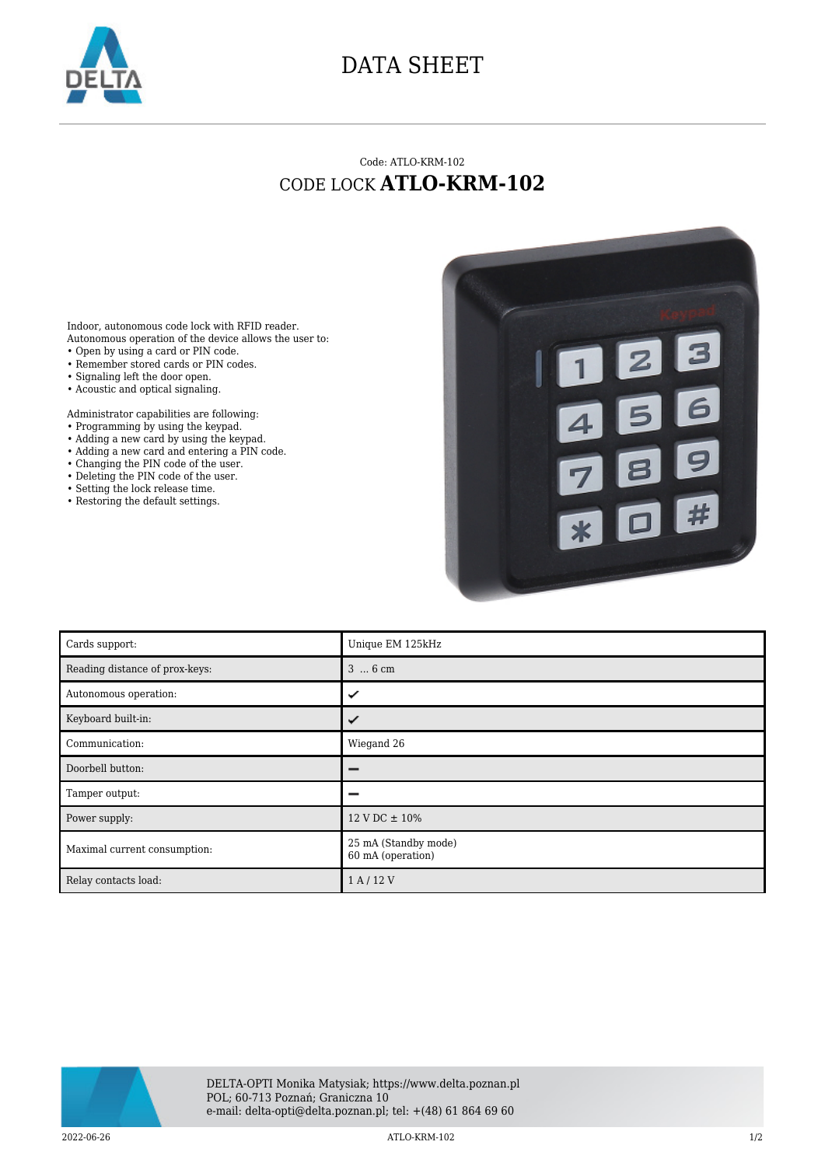

## DATA SHEET

## Code: ATLO-KRM-102 CODE LOCK **ATLO-KRM-102**

Indoor, autonomous code lock with RFID reader. Autonomous operation of the device allows the user to: • Open by using a card or PIN code.

- Remember stored cards or PIN codes.
- Signaling left the door open.
- Acoustic and optical signaling.
- 

Administrator capabilities are following:

- Programming by using the keypad.
- Adding a new card by using the keypad.
- Adding a new card and entering a PIN code.
- Changing the PIN code of the user.
- Deleting the PIN code of the user.
- Setting the lock release time.
- Restoring the default settings.



| Cards support:                 | Unique EM 125kHz                          |
|--------------------------------|-------------------------------------------|
| Reading distance of prox-keys: | $36$ cm                                   |
| Autonomous operation:          | ✓                                         |
| Keyboard built-in:             |                                           |
| Communication:                 | Wiegand 26                                |
| Doorbell button:               |                                           |
| Tamper output:                 |                                           |
| Power supply:                  | $12 \text{ V}$ DC $\pm 10\%$              |
| Maximal current consumption:   | 25 mA (Standby mode)<br>60 mA (operation) |
| Relay contacts load:           | 1 A / 12 V                                |



2022-06-26 ATLO-KRM-102 1/2